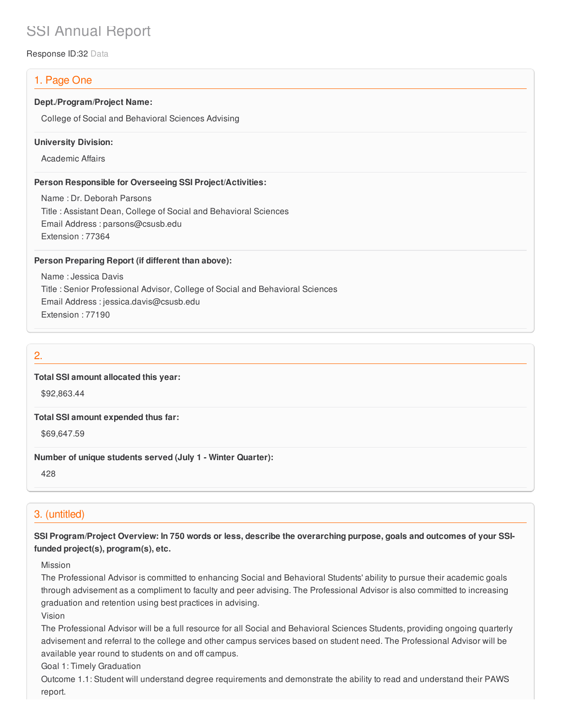# SSI Annual Report

Response ID:32 Data

## 1. Page One

### **Dept./Program/Project Name:**

College of Social and Behavioral Sciences Advising

#### **University Division:**

Academic Affairs

### **Person Responsible for Overseeing SSI Project/Activities:**

Name : Dr. Deborah Parsons Title : Assistant Dean, College of Social and Behavioral Sciences Email Address : parsons@csusb.edu Extension : 77364

### **Person Preparing Report (if different than above):**

Name : Jessica Davis Title : Senior Professional Advisor, College of Social and Behavioral Sciences Email Address : jessica.davis@csusb.edu Extension : 77190

### 2.

### **Total SSI amount allocated this year:**

\$92,863.44

#### **Total SSI amount expended thus far:**

\$69,647.59

### **Number of unique students served (July 1 - Winter Quarter):**

428

### 3. (untitled)

SSI Program/Project Overview: In 750 words or less, describe the overarching purpose, goals and outcomes of your SSI**funded project(s), program(s), etc.**

#### Mission

The Professional Advisor is committed to enhancing Social and Behavioral Students' ability to pursue their academic goals through advisement as a compliment to faculty and peer advising. The Professional Advisor is also committed to increasing graduation and retention using best practices in advising.

Vision

The Professional Advisor will be a full resource for all Social and Behavioral Sciences Students, providing ongoing quarterly advisement and referral to the college and other campus services based on student need. The Professional Advisor will be available year round to students on and off campus.

Goal 1: Timely Graduation

Outcome 1.1: Student will understand degree requirements and demonstrate the ability to read and understand their PAWS report.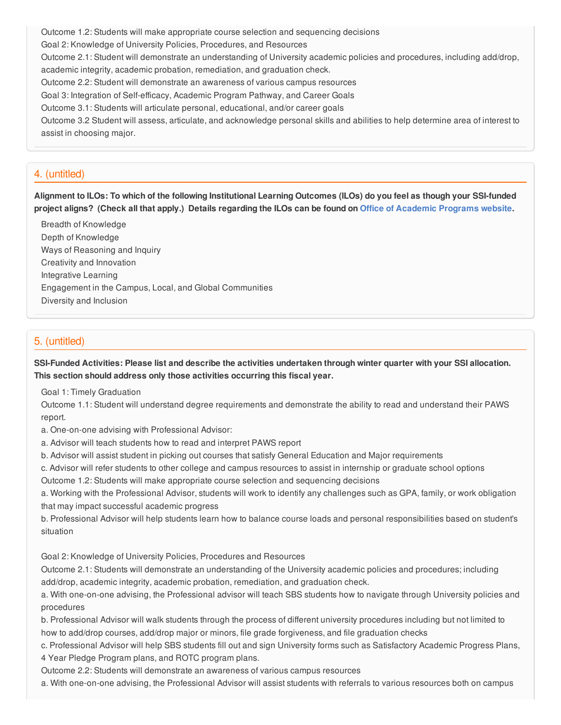Outcome 1.2: Students will make appropriate course selection and sequencing decisions Goal 2: Knowledge of University Policies, Procedures, and Resources Outcome 2.1: Student will demonstrate an understanding of University academic policies and procedures, including add/drop, academic integrity, academic probation, remediation, and graduation check. Outcome 2.2: Student will demonstrate an awareness of various campus resources Goal 3: Integration of Self-efficacy, Academic Program Pathway, and Career Goals Outcome 3.1: Students will articulate personal, educational, and/or career goals Outcome 3.2 Student will assess, articulate, and acknowledge personal skills and abilities to help determine area of interest to

assist in choosing major.

### 4. (untitled)

Alignment to ILOs: To which of the following Institutional Learning Outcomes (ILOs) do you feel as though your SSI-funded project aligns? (Check all that apply.) Details regarding the ILOs can be found on Office of [Academic](https://www.csusb.edu/sites/csusb/files/CSUSB_Institutional_Learning_Outcomes-Endorsed.pdf) Programs website.

Breadth of Knowledge Depth of Knowledge Ways of Reasoning and Inquiry Creativity and Innovation Integrative Learning Engagement in the Campus, Local, and Global Communities Diversity and Inclusion

### 5. (untitled)

SSI-Funded Activities: Please list and describe the activities undertaken through winter quarter with your SSI allocation. **This section should address only those activities occurring this fiscal year.**

Goal 1: Timely Graduation

Outcome 1.1: Student will understand degree requirements and demonstrate the ability to read and understand their PAWS report.

a. One-on-one advising with Professional Advisor:

a. Advisor will teach students how to read and interpret PAWS report

b. Advisor will assist student in picking out courses that satisfy General Education and Major requirements

c. Advisor will refer students to other college and campus resources to assist in internship or graduate school options

Outcome 1.2: Students will make appropriate course selection and sequencing decisions

a. Working with the Professional Advisor, students will work to identify any challenges such as GPA, family, or work obligation that may impact successful academic progress

b. Professional Advisor will help students learn how to balance course loads and personal responsibilities based on student's situation

Goal 2: Knowledge of University Policies, Procedures and Resources

Outcome 2.1: Students will demonstrate an understanding of the University academic policies and procedures; including add/drop, academic integrity, academic probation, remediation, and graduation check.

a. With one-on-one advising, the Professional advisor will teach SBS students how to navigate through University policies and procedures

b. Professional Advisor will walk students through the process of different university procedures including but not limited to how to add/drop courses, add/drop major or minors, file grade forgiveness, and file graduation checks

c. Professional Advisor will help SBS students fill out and sign University forms such as Satisfactory Academic Progress Plans, 4 Year Pledge Program plans, and ROTC program plans.

Outcome 2.2: Students will demonstrate an awareness of various campus resources

a. With one-on-one advising, the Professional Advisor will assist students with referrals to various resources both on campus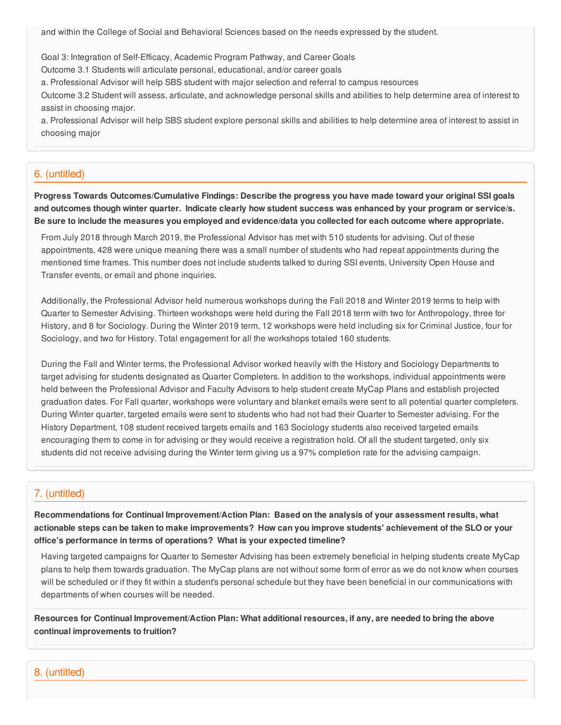and within the College of Social and Behavioral Sciences based on the needs expressed by the student.

Goal 3: Integration of Self-Efficacy, Academic Program Pathway, and Career Goals

Outcome 3.1 Students will articulate personal, educational, and/or career goals

a. Professional Advisor will help SBS student with major selection and referral to campus resources

Outcome 3.2 Student will assess, articulate, and acknowledge personal skills and abilities to help determine area of interest to assist in choosing major.

a. Professional Advisor will help SBS student explore personal skills and abilities to help determine area of interest to assist in choosing major

### 6. (untitled)

**Progress Towards Outcomes/Cumulative Findings: Describe the progress you have made toward your original SSI goals** and outcomes though winter quarter. Indicate clearly how student success was enhanced by your program or service/s. Be sure to include the measures you employed and evidence/data you collected for each outcome where appropriate.

From July 2018 through March 2019, the Professional Advisor has met with 510 students for advising. Out of these appointments, 428 were unique meaning there was a small number of students who had repeat appointments during the mentioned time frames. This number does not include students talked to during SSI events, University Open House and Transfer events, or email and phone inquiries.

Additionally, the Professional Advisor held numerous workshops during the Fall 2018 and Winter 2019 terms to help with Quarter to Semester Advising. Thirteen workshops were held during the Fall 2018 term with two for Anthropology, three for History, and 8 for Sociology. During the Winter 2019 term, 12 workshops were held including six for Criminal Justice, four for Sociology, and two for History. Total engagement for all the workshops totaled 160 students.

During the Fall and Winter terms, the Professional Advisor worked heavily with the History and Sociology Departments to target advising for students designated as Quarter Completers. In addition to the workshops, individual appointments were held between the Professional Advisor and Faculty Advisors to help student create MyCap Plans and establish projected graduation dates. For Fall quarter, workshops were voluntary and blanket emails were sent to all potential quarter completers. During Winter quarter, targeted emails were sent to students who had not had their Quarter to Semester advising. For the History Department, 108 student received targets emails and 163 Sociology students also received targeted emails encouraging them to come in for advising or they would receive a registration hold. Of all the student targeted, only six students did not receive advising during the Winter term giving us a 97% completion rate for the advising campaign.

### 7. (untitled)

**Recommendations for Continual Improvement/Action Plan: Based on the analysis of your assessment results, what** actionable steps can be taken to make improvements? How can you improve students' achievement of the SLO or your **office's performance in terms of operations? What is your expected timeline?**

Having targeted campaigns for Quarter to Semester Advising has been extremely beneficial in helping students create MyCap plans to help them towards graduation. The MyCap plans are not without some form of error as we do not know when courses will be scheduled or if they fit within a student's personal schedule but they have been beneficial in our communications with departments of when courses will be needed.

Resources for Continual Improvement/Action Plan: What additional resources, if any, are needed to bring the above **continual improvements to fruition?**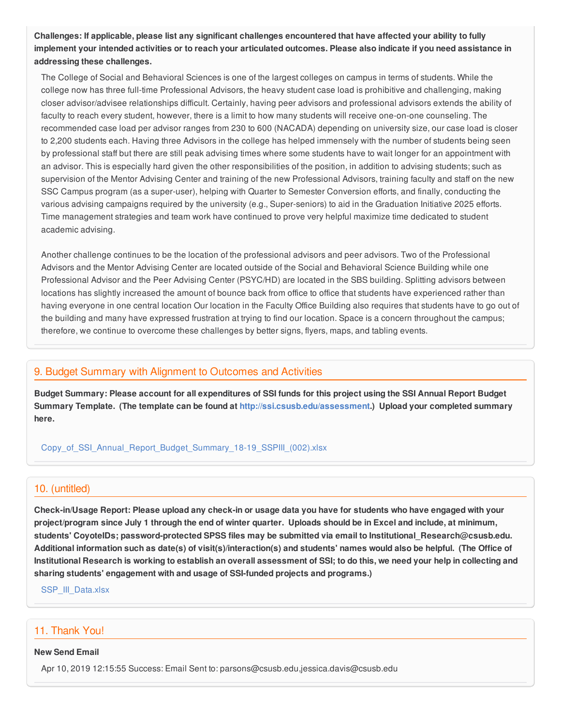Challenges: If applicable, please list any significant challenges encountered that have affected your ability to fully implement your intended activities or to reach your articulated outcomes. Please also indicate if you need assistance in **addressing these challenges.**

The College of Social and Behavioral Sciences is one of the largest colleges on campus in terms of students. While the college now has three full-time Professional Advisors, the heavy student case load is prohibitive and challenging, making closer advisor/advisee relationships difficult. Certainly, having peer advisors and professional advisors extends the ability of faculty to reach every student, however, there is a limit to how many students will receive one-on-one counseling. The recommended case load per advisor ranges from 230 to 600 (NACADA) depending on university size, our case load is closer to 2,200 students each. Having three Advisors in the college has helped immensely with the number of students being seen by professional staff but there are still peak advising times where some students have to wait longer for an appointment with an advisor. This is especially hard given the other responsibilities of the position, in addition to advising students; such as supervision of the Mentor Advising Center and training of the new Professional Advisors, training faculty and staff on the new SSC Campus program (as a super-user), helping with Quarter to Semester Conversion efforts, and finally, conducting the various advising campaigns required by the university (e.g., Super-seniors) to aid in the Graduation Initiative 2025 efforts. Time management strategies and team work have continued to prove very helpful maximize time dedicated to student academic advising.

Another challenge continues to be the location of the professional advisors and peer advisors. Two of the Professional Advisors and the Mentor Advising Center are located outside of the Social and Behavioral Science Building while one Professional Advisor and the Peer Advising Center (PSYC/HD) are located in the SBS building. Splitting advisors between locations has slightly increased the amount of bounce back from office to office that students have experienced rather than having everyone in one central location Our location in the Faculty Office Building also requires that students have to go out of the building and many have expressed frustration at trying to find our location. Space is a concern throughout the campus; therefore, we continue to overcome these challenges by better signs, flyers, maps, and tabling events.

### 9. Budget Summary with Alignment to Outcomes and Activities

Budget Summary: Please account for all expenditures of SSI funds for this project using the SSI Annual Report Budget **Summary Template. (The template can be found at <http://ssi.csusb.edu/assessment>.) Upload your completed summary here.**

[Copy\\_of\\_SSI\\_Annual\\_Report\\_Budget\\_Summary\\_18-19\\_SSPIII\\_\(002\).xlsx](https://surveygizmoresponseuploads.s3.amazonaws.com/fileuploads/98679/3939151/217-83ab052e2f9248e6a29be3c940093ab9_Copy_of_SSI_Annual_Report_Budget_Summary_18-19_SSPIII_%28002%29.xlsx)

### 10. (untitled)

Check-in/Usage Report: Please upload any check-in or usage data you have for students who have engaged with your project/program since July 1 through the end of winter quarter. Uploads should be in Excel and include, at minimum, **students' CoyoteIDs; password-protected SPSS files may be submitted via email to Institutional\_Research@csusb.edu.** Additional information such as date(s) of visit(s)/interaction(s) and students' names would also be helpful. (The Office of Institutional Research is working to establish an overall assessment of SSI; to do this, we need your help in collecting and **sharing students' engagement with and usage of SSI-funded projects and programs.)**

[SSP\\_III\\_Data.xlsx](https://surveygizmoresponseuploads.s3.amazonaws.com/fileuploads/98679/3939151/73-c799a759014305c3affcda923546db16_SSP_III_Data.xlsx)

### 11. Thank You!

#### **New Send Email**

Apr 10, 2019 12:15:55 Success: Email Sent to: parsons@csusb.edu,jessica.davis@csusb.edu